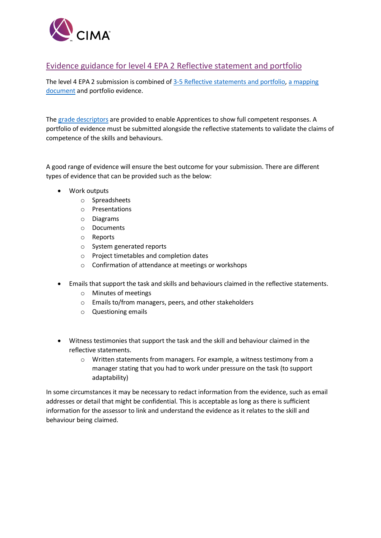

## Evidence guidance for level 4 EPA 2 Reflective statement and portfolio

The level 4 EPA 2 submission is combined of [3-5 Reflective statements and portfolio,](https://www.cimaglobal.com/Documents/Apprenticeships/Reflective_statement_task_writing_template.docx) [a mapping](https://www.cimaglobal.com/Documents/Apprenticeships/portfolio_evidence_mapping_document.docx)  [document](https://www.cimaglobal.com/Documents/Apprenticeships/portfolio_evidence_mapping_document.docx) and portfolio evidence.

The grade [descriptors](https://www.cimaglobal.com/Documents/Apprenticeships/L4%20EPA2%20Performance%20descriptors.pdf) are provided to enable Apprentices to show full competent responses. A portfolio of evidence must be submitted alongside the reflective statements to validate the claims of competence of the skills and behaviours.

A good range of evidence will ensure the best outcome for your submission. There are different types of evidence that can be provided such as the below:

- Work outputs
	- o Spreadsheets
	- o Presentations
	- o Diagrams
	- o Documents
	- o Reports
	- o System generated reports
	- o Project timetables and completion dates
	- o Confirmation of attendance at meetings or workshops
- Emails that support the task and skills and behaviours claimed in the reflective statements.
	- o Minutes of meetings
	- o Emails to/from managers, peers, and other stakeholders
	- o Questioning emails
- Witness testimonies that support the task and the skill and behaviour claimed in the reflective statements.
	- o Written statements from managers. For example, a witness testimony from a manager stating that you had to work under pressure on the task (to support adaptability)

In some circumstances it may be necessary to redact information from the evidence, such as email addresses or detail that might be confidential. This is acceptable as long as there is sufficient information for the assessor to link and understand the evidence as it relates to the skill and behaviour being claimed.